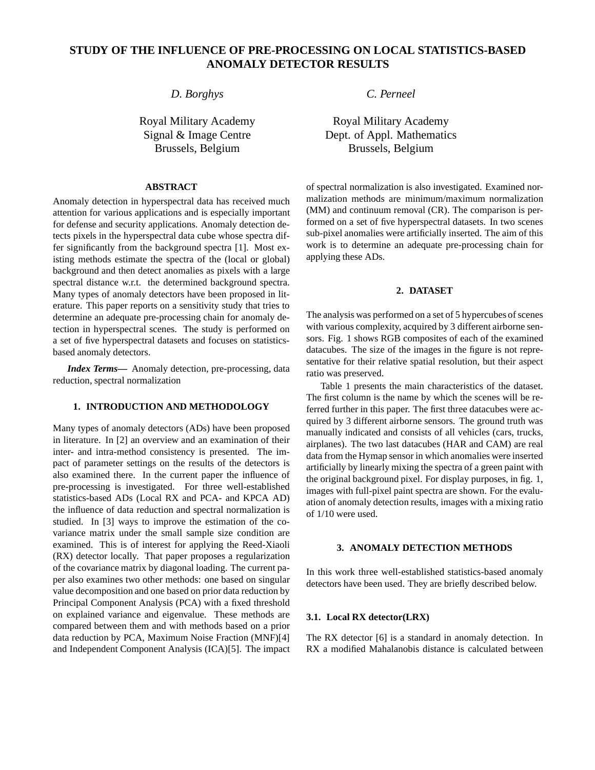# **STUDY OF THE INFLUENCE OF PRE-PROCESSING ON LOCAL STATISTICS-BASED ANOMALY DETECTOR RESULTS**

*D. Borghys*

Royal Military Academy Signal & Image Centre Brussels, Belgium

### **ABSTRACT**

Anomaly detection in hyperspectral data has received much attention for various applications and is especially important for defense and security applications. Anomaly detection detects pixels in the hyperspectral data cube whose spectra differ significantly from the background spectra [1]. Most existing methods estimate the spectra of the (local or global) background and then detect anomalies as pixels with a large spectral distance w.r.t. the determined background spectra. Many types of anomaly detectors have been proposed in literature. This paper reports on a sensitivity study that tries to determine an adequate pre-processing chain for anomaly detection in hyperspectral scenes. The study is performed on a set of five hyperspectral datasets and focuses on statisticsbased anomaly detectors.

*Index Terms***—** Anomaly detection, pre-processing, data reduction, spectral normalization

### **1. INTRODUCTION AND METHODOLOGY**

Many types of anomaly detectors (ADs) have been proposed in literature. In [2] an overview and an examination of their inter- and intra-method consistency is presented. The impact of parameter settings on the results of the detectors is also examined there. In the current paper the influence of pre-processing is investigated. For three well-established statistics-based ADs (Local RX and PCA- and KPCA AD) the influence of data reduction and spectral normalization is studied. In [3] ways to improve the estimation of the covariance matrix under the small sample size condition are examined. This is of interest for applying the Reed-Xiaoli (RX) detector locally. That paper proposes a regularization of the covariance matrix by diagonal loading. The current paper also examines two other methods: one based on singular value decomposition and one based on prior data reduction by Principal Component Analysis (PCA) with a fixed threshold on explained variance and eigenvalue. These methods are compared between them and with methods based on a prior data reduction by PCA, Maximum Noise Fraction (MNF)[4] and Independent Component Analysis (ICA)[5]. The impact *C. Perneel*

Royal Military Academy Dept. of Appl. Mathematics Brussels, Belgium

of spectral normalization is also investigated. Examined normalization methods are minimum/maximum normalization (MM) and continuum removal (CR). The comparison is performed on a set of five hyperspectral datasets. In two scenes sub-pixel anomalies were artificially inserted. The aim of this work is to determine an adequate pre-processing chain for applying these ADs.

#### **2. DATASET**

The analysis was performed on a set of 5 hypercubes of scenes with various complexity, acquired by 3 different airborne sensors. Fig. 1 shows RGB composites of each of the examined datacubes. The size of the images in the figure is not representative for their relative spatial resolution, but their aspect ratio was preserved.

Table 1 presents the main characteristics of the dataset. The first column is the name by which the scenes will be referred further in this paper. The first three datacubes were acquired by 3 different airborne sensors. The ground truth was manually indicated and consists of all vehicles (cars, trucks, airplanes). The two last datacubes (HAR and CAM) are real data from the Hymap sensor in which anomalies were inserted artificially by linearly mixing the spectra of a green paint with the original background pixel. For display purposes, in fig. 1, images with full-pixel paint spectra are shown. For the evaluation of anomaly detection results, images with a mixing ratio of 1/10 were used.

# **3. ANOMALY DETECTION METHODS**

In this work three well-established statistics-based anomaly detectors have been used. They are briefly described below.

### **3.1. Local RX detector(LRX)**

The RX detector [6] is a standard in anomaly detection. In RX a modified Mahalanobis distance is calculated between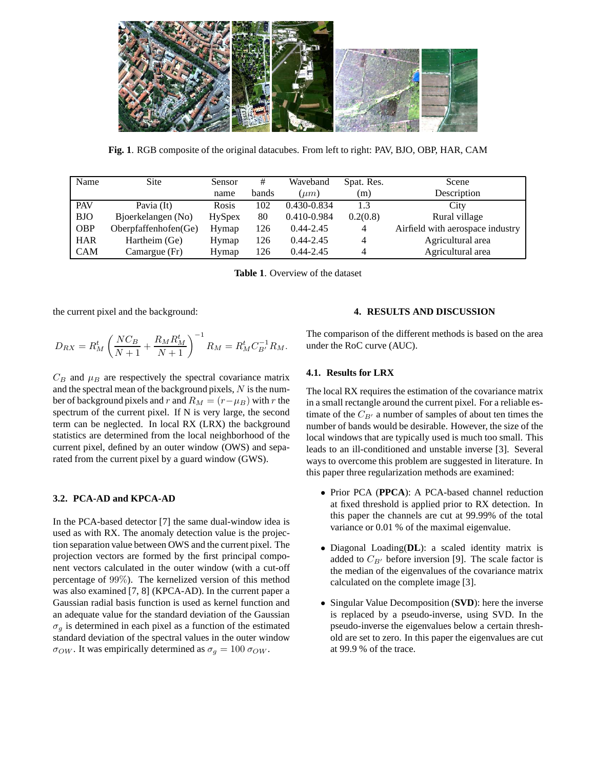

**Fig. 1**. RGB composite of the original datacubes. From left to right: PAV, BJO, OBP, HAR, CAM

| Name       | <b>Site</b>          | Sensor        | #     | Waveband      | Spat. Res. | Scene                            |
|------------|----------------------|---------------|-------|---------------|------------|----------------------------------|
|            |                      | name          | bands | $(\mu m)$     | (m)        | Description                      |
| PAV        | Pavia (It)           | Rosis         | 102   | 0.430-0.834   | 1.3        | City                             |
| <b>BJO</b> | Bjoerkelangen (No)   | <b>HySpex</b> | 80    | 0.410-0.984   | 0.2(0.8)   | Rural village                    |
| <b>OBP</b> | Oberpfaffenhofen(Ge) | Hymap         | 126   | $0.44 - 2.45$ | 4          | Airfield with aerospace industry |
| <b>HAR</b> | Hartheim (Ge)        | Hymap         | 126   | $0.44 - 2.45$ | 4          | Agricultural area                |
| <b>CAM</b> | Camargue (Fr)        | Hymap         | 126   | $0.44 - 2.45$ | 4          | Agricultural area                |

**Table 1**. Overview of the dataset

the current pixel and the background:

$$
D_{RX} = R_M^t \left( \frac{N C_B}{N+1} + \frac{R_M R_M^t}{N+1} \right)^{-1} R_M = R_M^t C_{B'}^{-1} R_M.
$$

 $C_B$  and  $\mu_B$  are respectively the spectral covariance matrix and the spectral mean of the background pixels,  $N$  is the number of background pixels and r and  $R_M = (r - \mu_B)$  with r the spectrum of the current pixel. If N is very large, the second term can be neglected. In local RX (LRX) the background statistics are determined from the local neighborhood of the current pixel, defined by an outer window (OWS) and separated from the current pixel by a guard window (GWS).

# **3.2. PCA-AD and KPCA-AD**

In the PCA-based detector [7] the same dual-window idea is used as with RX. The anomaly detection value is the projection separation value between OWS and the current pixel. The projection vectors are formed by the first principal component vectors calculated in the outer window (with a cut-off percentage of 99%). The kernelized version of this method was also examined [7, 8] (KPCA-AD). In the current paper a Gaussian radial basis function is used as kernel function and an adequate value for the standard deviation of the Gaussian  $\sigma_q$  is determined in each pixel as a function of the estimated standard deviation of the spectral values in the outer window  $\sigma_{OW}$ . It was empirically determined as  $\sigma_g = 100 \sigma_{OW}$ .

# **4. RESULTS AND DISCUSSION**

The comparison of the different methods is based on the area under the RoC curve (AUC).

### **4.1. Results for LRX**

The local RX requires the estimation of the covariance matrix in a small rectangle around the current pixel. For a reliable estimate of the  $C_{B'}$  a number of samples of about ten times the number of bands would be desirable. However, the size of the local windows that are typically used is much too small. This leads to an ill-conditioned and unstable inverse [3]. Several ways to overcome this problem are suggested in literature. In this paper three regularization methods are examined:

- Prior PCA (**PPCA**): A PCA-based channel reduction at fixed threshold is applied prior to RX detection. In this paper the channels are cut at 99.99% of the total variance or 0.01 % of the maximal eigenvalue.
- Diagonal Loading(**DL**): a scaled identity matrix is added to  $C_{B'}$  before inversion [9]. The scale factor is the median of the eigenvalues of the covariance matrix calculated on the complete image [3].
- Singular Value Decomposition (**SVD**): here the inverse is replaced by a pseudo-inverse, using SVD. In the pseudo-inverse the eigenvalues below a certain threshold are set to zero. In this paper the eigenvalues are cut at 99.9 % of the trace.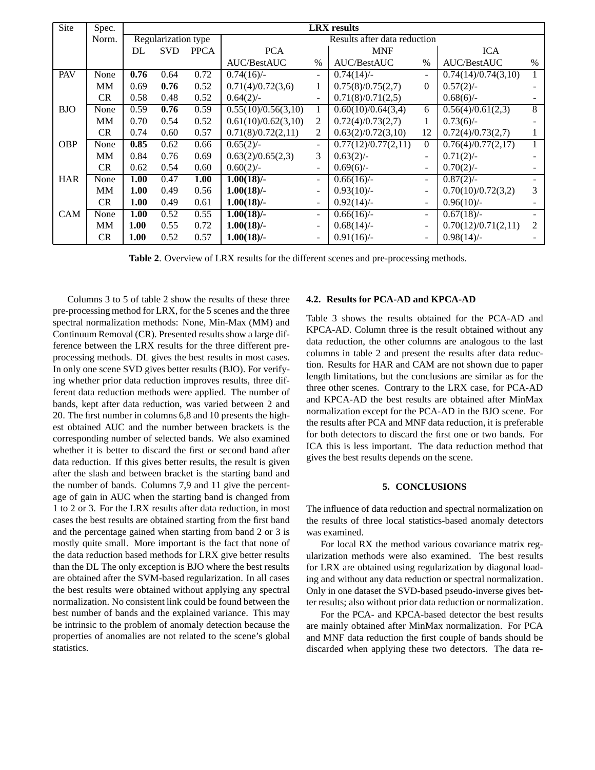| Site       | Spec.     | <b>LRX</b> results  |            |             |                              |                          |                     |                          |                                 |                |  |
|------------|-----------|---------------------|------------|-------------|------------------------------|--------------------------|---------------------|--------------------------|---------------------------------|----------------|--|
|            | Norm.     | Regularization type |            |             | Results after data reduction |                          |                     |                          |                                 |                |  |
|            |           | DL                  | <b>SVD</b> | <b>PPCA</b> | <b>PCA</b>                   |                          | <b>MNF</b>          |                          | <b>ICA</b>                      |                |  |
|            |           |                     |            |             | <b>AUC/BestAUC</b>           | $\%$                     | AUC/BestAUC         | $\%$                     | AUC/BestAUC                     | $\%$           |  |
| <b>PAV</b> | None      | 0.76                | 0.64       | 0.72        | 0.74(16)                     | $\overline{\phantom{a}}$ | 0.74(14)            | $\blacksquare$           | 0.74(14)/0.74(3,10)             | 1              |  |
|            | <b>MM</b> | 0.69                | 0.76       | 0.52        | 0.71(4)/0.72(3,6)            | 1                        | 0.75(8)/0.75(2,7)   | $\Omega$                 | $0.57(2)$ /-                    |                |  |
|            | <b>CR</b> | 0.58                | 0.48       | 0.52        | $0.64(2)$ /-                 | $\blacksquare$           | 0.71(8)/0.71(2,5)   |                          | $0.68(6)/-$                     |                |  |
| <b>BJO</b> | None      | 0.59                | 0.76       | 0.59        | 0.55(10)/0.56(3,10)          |                          | 0.60(10)/0.64(3,4)  | 6                        | $\overline{0.56(4)/0.61(2,3)}$  | 8              |  |
|            | MM        | 0.70                | 0.54       | 0.52        | 0.61(10)/0.62(3,10)          | 2                        | 0.72(4)/0.73(2,7)   | $\mathbf{1}$             | $0.73(6)/-$                     |                |  |
|            | <b>CR</b> | 0.74                | 0.60       | 0.57        | 0.71(8)/0.72(2,11)           | 2                        | 0.63(2)/0.72(3,10)  | 12                       | 0.72(4)/0.73(2,7)               | 1              |  |
| <b>OBP</b> | None      | 0.85                | 0.62       | 0.66        | $0.65(2)$ /-                 | $\overline{\phantom{a}}$ | 0.77(12)/0.77(2,11) | 0                        | $\overline{0.76(4)/0.77(2,17)}$ | $\mathbf{1}$   |  |
|            | MM        | 0.84                | 0.76       | 0.69        | 0.63(2)/0.65(2,3)            | 3                        | $0.63(2)$ /-        | $\overline{a}$           | $0.71(2)$ /-                    |                |  |
|            | CR.       | 0.62                | 0.54       | 0.60        | $0.60(2)$ /-                 | $\overline{\phantom{a}}$ | $0.69(6)$ .         | $\overline{\phantom{a}}$ | $0.70(2)$ /-                    |                |  |
| <b>HAR</b> | None      | 1.00                | 0.47       | 1.00        | $1.00(18)$ /-                | $\blacksquare$           | 0.66(16)            | ٠                        | $0.87(2)$ /-                    |                |  |
|            | MM        | 1.00                | 0.49       | 0.56        | $1.00(18)$ /-                | $\overline{\phantom{a}}$ | $0.93(10)$ /-       | $\overline{\phantom{a}}$ | 0.70(10)/0.72(3,2)              | 3              |  |
|            | <b>CR</b> | 1.00                | 0.49       | 0.61        | $1.00(18)$ /-                | $\overline{\phantom{a}}$ | $0.92(14)$ /-       | $\blacksquare$           | $0.96(10)$ .                    |                |  |
| <b>CAM</b> | None      | 1.00                | 0.52       | 0.55        | $1.00(18)$ /-                | $\overline{\phantom{a}}$ | 0.66(16)            | $\overline{\phantom{a}}$ | 0.67(18)                        |                |  |
|            | MM        | 1.00                | 0.55       | 0.72        | $1.00(18)$ /-                | $\overline{\phantom{m}}$ | $0.68(14)$ /-       | $\blacksquare$           | 0.70(12)/0.71(2,11)             | $\overline{2}$ |  |
|            | <b>CR</b> | 1.00                | 0.52       | 0.57        | $1.00(18)$ /-                | $\blacksquare$           | 0.91(16)            | $\blacksquare$           | $0.98(14)$ /-                   |                |  |

**Table 2**. Overview of LRX results for the different scenes and pre-processing methods.

Columns 3 to 5 of table 2 show the results of these three pre-processing method for LRX, for the 5 scenes and the three spectral normalization methods: None, Min-Max (MM) and Continuum Removal (CR). Presented results show a large difference between the LRX results for the three different preprocessing methods. DL gives the best results in most cases. In only one scene SVD gives better results (BJO). For verifying whether prior data reduction improves results, three different data reduction methods were applied. The number of bands, kept after data reduction, was varied between 2 and 20. The first number in columns 6,8 and 10 presents the highest obtained AUC and the number between brackets is the corresponding number of selected bands. We also examined whether it is better to discard the first or second band after data reduction. If this gives better results, the result is given after the slash and between bracket is the starting band and the number of bands. Columns 7,9 and 11 give the percentage of gain in AUC when the starting band is changed from 1 to 2 or 3. For the LRX results after data reduction, in most cases the best results are obtained starting from the first band and the percentage gained when starting from band 2 or 3 is mostly quite small. More important is the fact that none of the data reduction based methods for LRX give better results than the DL The only exception is BJO where the best results are obtained after the SVM-based regularization. In all cases the best results were obtained without applying any spectral normalization. No consistent link could be found between the best number of bands and the explained variance. This may be intrinsic to the problem of anomaly detection because the properties of anomalies are not related to the scene's global statistics.

# **4.2. Results for PCA-AD and KPCA-AD**

Table 3 shows the results obtained for the PCA-AD and KPCA-AD. Column three is the result obtained without any data reduction, the other columns are analogous to the last columns in table 2 and present the results after data reduction. Results for HAR and CAM are not shown due to paper length limitations, but the conclusions are similar as for the three other scenes. Contrary to the LRX case, for PCA-AD and KPCA-AD the best results are obtained after MinMax normalization except for the PCA-AD in the BJO scene. For the results after PCA and MNF data reduction, it is preferable for both detectors to discard the first one or two bands. For ICA this is less important. The data reduction method that gives the best results depends on the scene.

### **5. CONCLUSIONS**

The influence of data reduction and spectral normalization on the results of three local statistics-based anomaly detectors was examined.

For local RX the method various covariance matrix regularization methods were also examined. The best results for LRX are obtained using regularization by diagonal loading and without any data reduction or spectral normalization. Only in one dataset the SVD-based pseudo-inverse gives better results; also without prior data reduction or normalization.

For the PCA- and KPCA-based detector the best results are mainly obtained after MinMax normalization. For PCA and MNF data reduction the first couple of bands should be discarded when applying these two detectors. The data re-